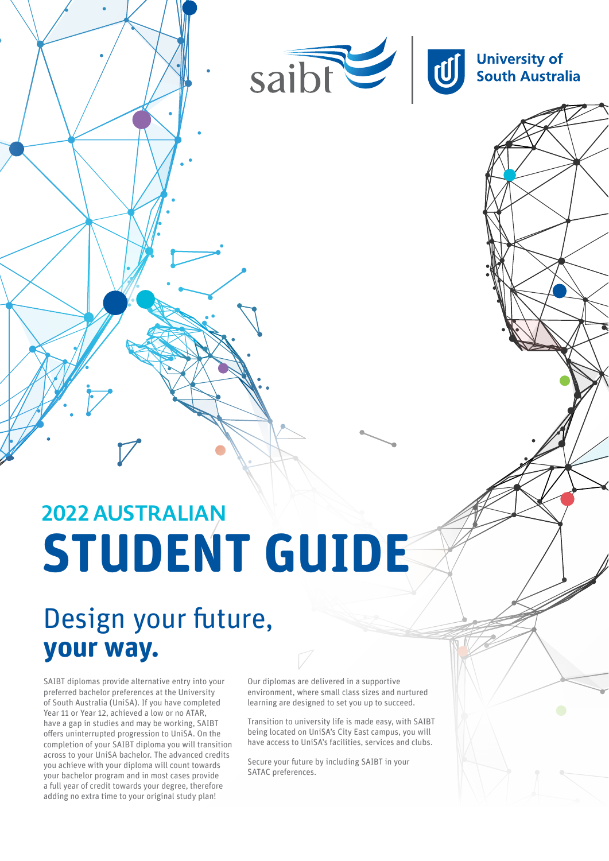

# **2022 AUSTRALIAN STUDENT GUIDE**

## Design your future, **your way.**

SAIBT diplomas provide alternative entry into your preferred bachelor preferences at the University of South Australia (UniSA). If you have completed Year 11 or Year 12, achieved a low or no ATAR, have a gap in studies and may be working, SAIBT offers uninterrupted progression to UniSA. On the completion of your SAIBT diploma you will transition across to your UniSA bachelor. The advanced credits you achieve with your diploma will count towards your bachelor program and in most cases provide a full year of credit towards your degree, therefore adding no extra time to your original study plan!

Our diplomas are delivered in a supportive environment, where small class sizes and nurtured learning are designed to set you up to succeed.

Transition to university life is made easy, with SAIBT being located on UniSA's City East campus, you will have access to UniSA's facilities, services and clubs.

Secure your future by including SAIBT in your SATAC preferences.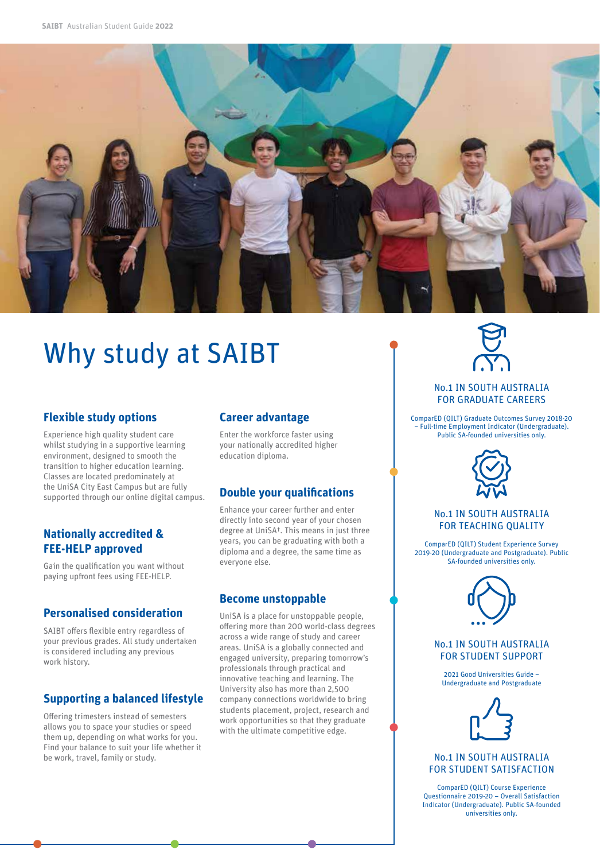

# Why study at SAIBT

#### **Flexible study options**

Experience high quality student care whilst studying in a supportive learning environment, designed to smooth the transition to higher education learning. Classes are located predominately at the UniSA City East Campus but are fully supported through our online digital campus.

### **Nationally accredited & FEE‑HELP approved**

Gain the qualification you want without paying upfront fees using FEE-HELP.

### **Personalised consideration**

SAIBT offers flexible entry regardless of your previous grades. All study undertaken is considered including any previous work history.

## **Supporting a balanced lifestyle**

Offering trimesters instead of semesters allows you to space your studies or speed them up, depending on what works for you. Find your balance to suit your life whether it be work, travel, family or study.

#### **Career advantage**

Enter the workforce faster using your nationally accredited higher education diploma.

## **Double your qualifications**

Enhance your career further and enter directly into second year of your chosen degree at UniSA†. This means in just three years, you can be graduating with both a diploma and a degree, the same time as everyone else.

#### **Become unstoppable**

UniSA is a place for unstoppable people, offering more than 200 world-class degrees across a wide range of study and career areas. UniSA is a globally connected and engaged university, preparing tomorrow's professionals through practical and innovative teaching and learning. The University also has more than 2,500 company connections worldwide to bring students placement, project, research and work opportunities so that they graduate with the ultimate competitive edge.



#### No.1 IN SOUTH AUSTRALIA FOR GRADUATE CAREERS

ComparED (QILT) Graduate Outcomes Survey 2018-20 – Full-time Employment Indicator (Undergraduate). Public SA-founded universities only.



#### No.1 IN SOUTH AUSTRALIA FOR TEACHING QUALITY

ComparED (QILT) Student Experience Survey 2019-20 (Undergraduate and Postgraduate). Public SA-founded universities only.



#### No.1 IN SOUTH AUSTRALIA FOR STUDENT SUPPORT

2021 Good Universities Guide – Undergraduate and Postgraduate



No.1 IN SOUTH AUSTRALIA FOR STUDENT SATISFACTION

ComparED (QILT) Course Experience Questionnaire 2019-20 – Overall Satisfaction Indicator (Undergraduate). Public SA-founded universities only.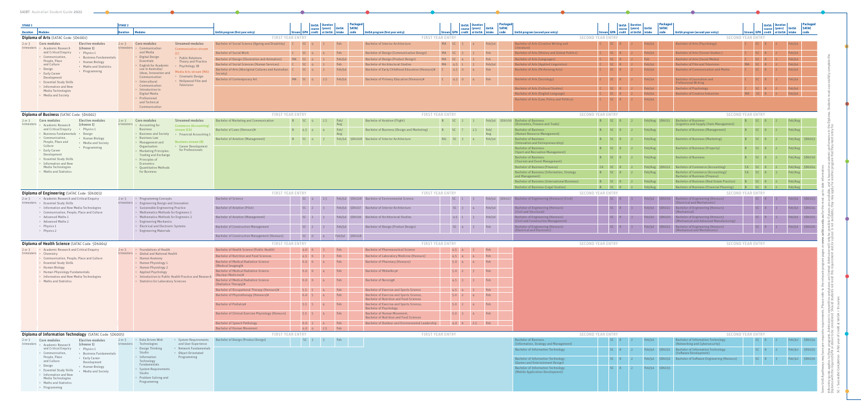| <b>SAIBT</b> Australian Student Guide 2022                                                        |                                            |                                                                                               |                                                                                            |                               |                                               |                          |                                                                                                   |                         |                                           |                                                 |                                                                               |                 |                                           |                                    |                  |                                                                                     |         |              |                                           |                          |              |
|---------------------------------------------------------------------------------------------------|--------------------------------------------|-----------------------------------------------------------------------------------------------|--------------------------------------------------------------------------------------------|-------------------------------|-----------------------------------------------|--------------------------|---------------------------------------------------------------------------------------------------|-------------------------|-------------------------------------------|-------------------------------------------------|-------------------------------------------------------------------------------|-----------------|-------------------------------------------|------------------------------------|------------------|-------------------------------------------------------------------------------------|---------|--------------|-------------------------------------------|--------------------------|--------------|
|                                                                                                   |                                            |                                                                                               |                                                                                            |                               |                                               |                          |                                                                                                   |                         |                                           |                                                 |                                                                               |                 |                                           |                                    |                  |                                                                                     |         |              |                                           |                          |              |
| <b>STAGE 1</b>                                                                                    | <b>STAGE 2</b>                             |                                                                                               |                                                                                            |                               | <b>UniSA</b> Duration<br>course (years) UniSA | Packaged<br><b>SATAC</b> |                                                                                                   |                         | <b>UniSA</b> Duration<br>course (years)   | <b>Packaged</b><br><b>SATAC</b><br><b>UniSA</b> |                                                                               |                 |                                           | UniSA   Duration<br>course (years) | <b>UniSA</b>     | Packaged<br><b>SATAC</b>                                                            |         | UniSA        | course (years) UniSA                      |                          | <b>SATAC</b> |
| Duration   Modules                                                                                | <b>Duration</b>                            | <b>Modules</b>                                                                                | <b>UniSA program (first year entry)</b>                                                    |                               | tream GPA   credit   at UniSA   intake        | code                     | UniSA program (first year entry)                                                                  |                         | Stream   GPA   credit   at UniSA   intake | code                                            | <b>UniSA program (second year entry)</b>                                      |                 | Stream   GPA   credit   at UniSA   intake |                                    | l code           | UniSA program (second year entry)                                                   |         |              | Stream   GPA   credit   at UniSA   intake |                          |              |
| Diploma of Arts (SATAC Code: 5D6001)                                                              |                                            |                                                                                               | <b>FIRST YEAR ENTRY</b>                                                                    |                               |                                               |                          |                                                                                                   | <b>FIRST YEAR ENTRY</b> |                                           |                                                 | <b>SECOND YEAR ENTRY</b>                                                      |                 |                                           |                                    |                  | <b>SECOND YEAR ENTRY</b>                                                            |         |              |                                           |                          |              |
| 2 or 3 Core modules<br><b>Elective modules</b>                                                    |                                            | <b>Streamed modules</b><br>2 or 3 Core modules                                                | Bachelor of Social Science (Ageing and Disability) C                                       | $SC = 4$                      |                                               | Feb                      | <b>Bachelor of Interior Architecture</b>                                                          | MA <sub>SC</sub> 3      | 4 <sup>1</sup>                            | Feb/Jul                                         | Bachelor of Arts (Creative Writing and<br>Literature)                         |                 |                                           |                                    | Feb/Jul          | Bachelor of Arts (Psychology)                                                       |         |              |                                           |                          |              |
| trimesters • Academic Research<br>(choose 1)<br>and Critical Enquiry<br>• Physics 1               |                                            | trimesters • Communication<br><b>Communication stream</b><br>and Media<br>(C)                 | <b>Bachelor of Social Work</b>                                                             | $C \qquad \qquad$ SC 4        | 4 <sup>1</sup>                                | Feb                      | <b>Bachelor of Design (Communication Design)</b>                                                  | MASC <sub>3</sub>       | Feb                                       |                                                 | <b>Bachelor of Arts (History and Global Politics)</b>                         |                 |                                           |                                    | Feb/Jul          | Bachelor of Arts (Screen Studies)                                                   |         |              |                                           | Feb/Jul                  |              |
| • Communication<br>• Business Fundamentals                                                        |                                            | • Digital Design<br>• Public Relations                                                        | Bachelor of Design (Illustration and Animation)                                            | MA <sub>SC</sub> 4            |                                               | Feb/Jul                  | <b>Bachelor of Design (Product Design)</b>                                                        | MA <sub>SC</sub> 4      | Feb                                       |                                                 | <b>Bachelor of Arts (Languages)</b>                                           |                 |                                           |                                    | Feb              | <b>Bachelor of Arts (Social Media)</b>                                              |         |              |                                           | Feb/Jul                  |              |
| People, Place<br>• Human Biology<br>and Culture<br>• Maths and Statistics                         |                                            | Essentials<br><b>Theory and Practice</b><br>• English for Academic<br>• Psychology 1B         | <b>Bachelor of Social Sciences (Human Services)</b>                                        | $SC = 4$                      |                                               | Feb                      | <b>Bachelor of Architectural Studies</b>                                                          | MA 4.5 1                |                                           | Feb/Jul                                         | <b>Bachelor of Arts (Applied Linguistics)</b>                                 |                 |                                           |                                    | Feb/Jul          | <b>Bachelor of Film and Television</b>                                              | MA SC 8 |              |                                           | Feb/Jul                  |              |
| • Design<br>• Programming                                                                         |                                            | use in Australia/<br>Media Arts stream (MA)                                                   | Bachelor of Arts (Aboriginal Cultures and Australian   C                                   | $SC = 4$                      |                                               | Feb/Jul                  | Bachelor of Early Childhood Education (Honours)#                                                  | $4.5\quad0$             |                                           | Feb                                             | <b>Bachelor of Arts (Performing Arts)</b>                                     |                 |                                           |                                    | Feb/Jul          | <b>Bachelor of Communication and Media</b>                                          |         |              |                                           | Feb/Jul                  |              |
| • Early Career<br>Development                                                                     |                                            | Ideas, Innovation and<br>• Cinematic Design<br>Communication                                  | Society) l                                                                                 |                               |                                               |                          |                                                                                                   |                         |                                           |                                                 |                                                                               |                 |                                           |                                    |                  |                                                                                     |         |              |                                           |                          |              |
| • Essential Study Skills                                                                          |                                            | • Hollywood Film and<br>• Intercultural<br>Television                                         | <b>Bachelor of Contemporary Art</b>                                                        | MA <sub>SC</sub> 4            | 2.5                                           | Feb/Jul                  | <b>Bachelor of Primary Education (Honours)#</b>                                                   | $4.5 \t 0$              | 4 <sup>1</sup>                            | Feb                                             | <b>Bachelor of Arts (Sociology)</b>                                           |                 |                                           |                                    | Feb/Jul          | Bachelor of Journalism and<br><b>Professional Writing</b>                           |         |              |                                           | Feb/Jul                  |              |
| • Information and New<br>Media Technologies                                                       |                                            | Communication<br>• Introduction to                                                            |                                                                                            |                               |                                               |                          |                                                                                                   |                         |                                           |                                                 | <b>Bachelor of Arts (Cultural Studies)</b>                                    |                 |                                           |                                    | Feb/Jul          | <b>Bachelor of Psychology</b>                                                       |         | $C = SC = 8$ |                                           | Feb/Jul                  |              |
| • Media and Society                                                                               |                                            | Digital Media                                                                                 |                                                                                            |                               |                                               |                          |                                                                                                   |                         |                                           |                                                 | Bachelor of Arts (English Language)                                           |                 |                                           |                                    | Feb/Jul          | <b>Bachelor of Creative Industries</b>                                              | MASC 8  |              |                                           | Feb/Jul                  |              |
|                                                                                                   |                                            | • Professional<br>and Technical                                                               |                                                                                            |                               |                                               |                          |                                                                                                   |                         |                                           |                                                 | Bachelor of Arts (Law, Policy and Politics)                                   |                 |                                           |                                    | Feb/Jul          |                                                                                     |         |              |                                           |                          |              |
|                                                                                                   |                                            | Communication                                                                                 |                                                                                            |                               |                                               |                          |                                                                                                   |                         |                                           |                                                 |                                                                               |                 |                                           |                                    |                  |                                                                                     |         |              |                                           |                          |              |
| <b>Diploma of Business</b> (SATAC Code: 5D6002)                                                   |                                            |                                                                                               | <b>FIRST YEAR ENTRY</b>                                                                    |                               |                                               |                          |                                                                                                   | <b>FIRST YEAR ENTRY</b> |                                           |                                                 | <b>SECOND YEAR ENTRY</b>                                                      |                 |                                           |                                    |                  | <b>SECOND YEAR ENTRY</b>                                                            |         |              |                                           |                          |              |
| 2 or 3 Core modules<br><b>Elective modules</b>                                                    | $2$ or $3$                                 | Core modules<br><b>Streamed modules</b>                                                       | <b>Bachelor of Marketing and Communication</b>                                             | $SC = 4$                      | 2.5                                           | Feb/                     | <b>Bachelor of Aviation (Flight)</b>                                                              | B<br>SC                 |                                           |                                                 | Feb/Iul 5D6009 Bachelor of Business                                           |                 |                                           |                                    |                  | Feb/Aug 5D6011 Bachelor of Business                                                 |         |              |                                           | Feb/Aug                  |              |
| trimesters • Academic Research<br>(choose 1)<br>and Critical Enquiry • Physics 1                  |                                            | trimesters • Accounting for<br><b>Commerce (Accounting)</b><br><b>Business</b><br>stream (CA) | <b>Bachelor of Laws (Honours)#</b>                                                         | B 4.5 4                       |                                               | Aug<br>Feb/              | <b>Bachelor of Business (Design and Marketing)</b>                                                |                         |                                           | Feb/                                            | (Economics, Finance and Trade)<br><b>Bachelor of Business</b>                 |                 |                                           |                                    | Feb/Aug          | (Logistics and Supply Chain Management)<br><b>Bachelor of Business (Management)</b> |         |              |                                           | Feb/Aug                  |              |
| · Business Fundamentals · Design                                                                  |                                            | • Business and Society<br>• Financial Accounting 1                                            |                                                                                            |                               |                                               | Aug                      |                                                                                                   |                         |                                           | Aug                                             | (Human Resource Management)                                                   |                 |                                           |                                    |                  |                                                                                     |         |              |                                           |                          |              |
| • Communication,<br>• Human Biology<br>People, Place and                                          |                                            | • Business Law<br><b>Business stream (B)</b>                                                  | <b>Bachelor of Aviation (Management)</b>                                                   | <b>B</b> SC 4                 |                                               |                          | Feb/Jul 5D6008 Bachelor of Interior Architecture                                                  | NIL SC 3                |                                           | Feb/Jul                                         | <b>Bachelor of Business</b>                                                   |                 |                                           |                                    | Feb/Aug          | <b>Bachelor of Business (Marketing)</b>                                             |         |              |                                           | Feb/Aug 5D6013           |              |
| • Media and Society<br>Culture<br>• Programming                                                   |                                            | • Management and<br>• Career Development<br>Organisation                                      |                                                                                            |                               |                                               |                          |                                                                                                   |                         |                                           |                                                 | (Innovation and Entrepreneurship)<br><b>Bachelor of Business</b>              |                 |                                           |                                    | Feb/Aug          | <b>Bachelor of Business (Property)</b>                                              |         |              |                                           | Feb/Aug                  |              |
| • Early Career<br>Development                                                                     |                                            | for Professionals<br>• Marketing Principles:                                                  |                                                                                            |                               |                                               |                          |                                                                                                   |                         |                                           |                                                 | (Sport and Recreation Management)                                             |                 |                                           |                                    |                  |                                                                                     |         |              |                                           |                          |              |
| • Essential Study Skills                                                                          |                                            | <b>Trading and Exchange</b><br>• Principles of                                                |                                                                                            |                               |                                               |                          |                                                                                                   |                         |                                           |                                                 | <b>Bachelor of Business</b>                                                   |                 |                                           |                                    | Feb/Aug          | <b>Bachelor of Business</b>                                                         |         |              |                                           | Feb/Aug 5D6010           |              |
| • Information and New<br>Media Technologies                                                       |                                            | Economics                                                                                     |                                                                                            |                               |                                               |                          |                                                                                                   |                         |                                           |                                                 | (Tourism and Event Management)<br><b>Bachelor of Business (Finance)</b>       |                 |                                           |                                    | Feb/Aug          | Bachelor of Commerce (Accounting)                                                   | CA SC   |              |                                           | Feb/Aug 5D6014           |              |
| • Maths and Statistics                                                                            |                                            | • Quantitative Methods<br>for Business                                                        |                                                                                            |                               |                                               |                          |                                                                                                   |                         |                                           |                                                 | Bachelor of Business (Information, Strategy                                   |                 |                                           |                                    | Feb/Aug          | Bachelor of Commerce (Accounting)/                                                  | CA SC   |              |                                           | Feb/Aug                  |              |
|                                                                                                   |                                            |                                                                                               |                                                                                            |                               |                                               |                          |                                                                                                   |                         |                                           |                                                 | and Management)                                                               |                 |                                           |                                    |                  | <b>Bachelor of Business (Finance)</b>                                               |         |              |                                           |                          |              |
|                                                                                                   |                                            |                                                                                               |                                                                                            |                               |                                               |                          |                                                                                                   |                         |                                           |                                                 | <b>Bachelor of Business (International Business)</b>                          |                 |                                           |                                    | B SC 8 2 Feb/Aug | Bachelor of Business (Real Estate Practice)                                         |         | B SC 8       |                                           | Feb/Aug                  |              |
| Diploma of Engineering (SATAC Code: 5D6003)                                                       |                                            |                                                                                               | <b>FIRST YEAR ENTRY</b>                                                                    |                               |                                               |                          |                                                                                                   | <b>FIRST YEAR ENTRY</b> |                                           |                                                 | <b>Bachelor of Business (Legal Studies)</b><br><b>SECOND YEAR ENTRY</b>       | <b>B</b> SC 8 2 |                                           |                                    | Feb/Aug          | <b>Bachelor of Business (Financial Planning)</b><br><b>SECOND YEAR ENTRY</b>        |         | B SC 8 2     |                                           | Feb/Aug                  |              |
| 2 or 3 • Academic Research and Critical Enquiry                                                   |                                            | 2 or 3 • Programming Concepts                                                                 | Bachelor of Science                                                                        |                               | 2.5                                           |                          | Feb/Jul 5D6028 Bachelor of Environmental Science                                                  | SC                      |                                           |                                                 | Feb/Jul   5D6027   Bachelor of Engineering (Honours) (Civil)                  |                 |                                           |                                    |                  | D6019 Bachelor of Engineering (Honours)                                             |         |              |                                           | Feb/Jul 5D6023           |              |
| trimesters · Essential Study Skills                                                               |                                            | trimesters • Engineering Design and Innovation                                                |                                                                                            |                               |                                               |                          |                                                                                                   |                         |                                           |                                                 |                                                                               |                 |                                           |                                    |                  | (Electrical and Mechatronic)                                                        |         |              |                                           |                          |              |
| • Information and New Media Technologies<br>• Communication, People, Place and Culture            |                                            | • Sustainable Engineering Practice<br>• Mathematics Methods for Engineers 1                   | <b>Bachelor of Aviation (Pilot)</b>                                                        |                               |                                               |                          | Feb/Jul 5D6017 Bachelor of Interior Architecture                                                  |                         |                                           |                                                 | <b>Bachelor of Engineering (Honours)</b><br>(Civil and Structural)            |                 |                                           |                                    |                  | 5D6021 Bachelor of Engineering (Honours)<br>Mechanical)                             |         |              |                                           |                          | 5D6024       |
| • Advanced Maths 1                                                                                |                                            | • Mathematics Methods for Engineers 2                                                         | <b>Bachelor of Aviation (Management)</b>                                                   | SC <sub>2</sub>               |                                               |                          | Feb/Jul 5D6016 Bachelor of Architectural Studies                                                  | 4.5                     |                                           |                                                 | <b>Bachelor of Engineering (Honours)</b>                                      |                 |                                           |                                    |                  | 5D6020 Bachelor of Engineering (Honours)                                            |         |              |                                           |                          | 5D6025       |
| • Advanced Maths 2                                                                                |                                            | • Engineering Mechanics                                                                       |                                                                                            |                               |                                               |                          |                                                                                                   |                         |                                           |                                                 | (Civil and Construction Management)                                           |                 |                                           |                                    |                  | (Mechanical and Advanced Manufacturing)                                             |         |              |                                           |                          |              |
| • Physics 1<br>• Physics 2                                                                        |                                            | • Electrical and Electronic Systems<br>• Engineering Materials                                | <b>Bachelor of Construction Management</b>                                                 |                               | SC 2 3 Feb/Jul                                |                          | <b>Example 2 Bachelor of Design (Product Design)</b>                                              |                         | $SC = 4$ 3                                | Feb                                             | Bachelor of Engineering (Honours)<br>(Electrical and Electronic)              |                 | $SC = 8$                                  |                                    |                  | Feb/Jul 5D6022 Bachelor of Engineering (Honours)<br>(Mechanical and Mechatronic)    |         | $S = 8$      |                                           | $F_0 h / h_1$ $F_0$ 6026 |              |
|                                                                                                   |                                            |                                                                                               | <b>Bachelor of Construction Management (Honours)</b>                                       |                               |                                               | SC 0 4 Feb/Jul 5D6018    |                                                                                                   |                         |                                           |                                                 |                                                                               |                 |                                           |                                    |                  |                                                                                     |         |              |                                           |                          |              |
| Diploma of Health Science (SATAC Code: 5D6004)                                                    |                                            |                                                                                               | <b>FIRST YEAR ENTRY</b>                                                                    |                               |                                               |                          |                                                                                                   | <b>FIRST YEAR ENTRY</b> |                                           |                                                 | <b>SECOND YEAR ENTRY</b>                                                      |                 |                                           |                                    |                  | <b>SECOND YEAR ENTRY</b>                                                            |         |              |                                           |                          |              |
| 2 or 3 • Academic Research and Critical Enquiry<br>2 or 3 • Foundations of Health                 | Bachelor of Health Science (Public Health) | $4.0 \t6 \t3$                                                                                 |                                                                                            | <b>Example 1</b>              | <b>Bachelor of Pharmaceutical Science</b>     | $4.5 - 4$                | Feb                                                                                               |                         |                                           |                                                 |                                                                               |                 |                                           |                                    |                  |                                                                                     |         |              |                                           |                          |              |
| trimesters · Chemistry                                                                            |                                            | trimesters • Global and National Health                                                       | <b>Bachelor of Nutrition and Food Sciences</b>                                             |                               | 4.5 6 3 Feb                                   |                          | <b>Bachelor of Laboratory Medicine (Honours)</b>                                                  |                         | $4.5 \t4 \t4$                             | Feb                                             |                                                                               |                 |                                           |                                    |                  |                                                                                     |         |              |                                           |                          |              |
| • Communication, People, Place and Culture<br>• Essential Study Skills<br>• Human Biology         |                                            | • Human Anatomy<br>• Human Physiology 1<br>• Human Physiology 2                               | <b>Bachelor of Medical Radiation Science</b>                                               | $6.0 \t6 \t4$                 |                                               | Feb                      | <b>Bachelor of Pharmacy (Honours)</b>                                                             |                         | $5.0 \t 4 \t 4$                           | Feb                                             |                                                                               |                 |                                           |                                    |                  |                                                                                     |         |              |                                           |                          |              |
|                                                                                                   |                                            |                                                                                               | (Medical Imaging)#                                                                         |                               |                                               |                          |                                                                                                   |                         |                                           |                                                 |                                                                               |                 |                                           |                                    |                  |                                                                                     |         |              |                                           |                          |              |
| • Human Physiology Fundamentals                                                                   |                                            | • Applied Psychology                                                                          | <b>Bachelor of Medical Radiation Science</b><br>(Nuclear Medicine)#                        | $6.0\ 6$                      |                                               | Feb                      | <b>Bachelor of Midwifery#</b>                                                                     | $5.0$ 2                 |                                           | Feb                                             |                                                                               |                 |                                           |                                    |                  |                                                                                     |         |              |                                           |                          |              |
| · Information and New Media Technologies<br>• Maths and Statistics                                |                                            | • Introduction to Public Health Practice and Research<br>• Statistics for Laboratory Sciences | <b>Bachelor of Medical Radiation Science</b>                                               | $6.0 \t6 \t4$                 |                                               | Feb                      | <b>Bachelor of Nursing#</b>                                                                       | $4.5 \, 3$              |                                           | Feb                                             |                                                                               |                 |                                           |                                    |                  |                                                                                     |         |              |                                           |                          |              |
|                                                                                                   |                                            |                                                                                               | (Radiation Therapy)#                                                                       |                               |                                               |                          |                                                                                                   |                         |                                           |                                                 |                                                                               |                 |                                           |                                    |                  |                                                                                     |         |              |                                           |                          |              |
|                                                                                                   |                                            |                                                                                               | <b>Bachelor of Occupational Therapy (Honours)#</b><br>Bachelor of Physiotherapy (Honours)# | $5.5 \t 5 \t 4$<br>$6.0 \, 5$ |                                               | <b>Example 1</b><br>Feb  | <b>Bachelor of Exercise and Sports Science</b><br><b>Bachelor of Exercise and Sports Science,</b> |                         | Feb<br>$4.5 \t4 \t3$<br>$5.0\quad 2$      | Feb                                             |                                                                               |                 |                                           |                                    |                  |                                                                                     |         |              |                                           |                          |              |
|                                                                                                   |                                            |                                                                                               |                                                                                            |                               |                                               |                          | <b>Bachelor of Nutrition and Food Sciences</b>                                                    |                         |                                           |                                                 |                                                                               |                 |                                           |                                    |                  |                                                                                     |         |              |                                           |                          |              |
|                                                                                                   |                                            |                                                                                               | <b>Bachelor of Podiatry#</b>                                                               | $5.5$ 5                       |                                               | Feb                      | Bachelor of Exercise and Sports Science,                                                          | $5.0\quad 2$            | Feb                                       |                                                 |                                                                               |                 |                                           |                                    |                  |                                                                                     |         |              |                                           |                          |              |
|                                                                                                   |                                            |                                                                                               | <b>Bachelor of Clinical Exercise Physiology (Honours)</b>                                  | $5.5 \t 5$                    |                                               | Feb                      | <b>Bachelor of Psychology</b><br><b>Bachelor of Human Movement,</b>                               |                         | $5.0$ 3<br>4 <sup>1</sup>                 | Feb                                             |                                                                               |                 |                                           |                                    |                  |                                                                                     |         |              |                                           |                          |              |
|                                                                                                   |                                            |                                                                                               |                                                                                            |                               |                                               |                          | <b>Bachelor of Nutrition and Food Sciences</b>                                                    |                         |                                           |                                                 |                                                                               |                 |                                           |                                    |                  |                                                                                     |         |              |                                           |                          |              |
|                                                                                                   |                                            |                                                                                               | <b>Bachelor of Speech Pathology</b>                                                        |                               | 6.0 3 4 Feb                                   |                          | <b>Bachelor of Outdoor and Environmental Leadership</b>                                           |                         | 4.0 6 2.5 Feb                             |                                                 |                                                                               |                 |                                           |                                    |                  |                                                                                     |         |              |                                           |                          |              |
|                                                                                                   |                                            |                                                                                               | <b>Bachelor of Human Movement</b>                                                          |                               | 4.0 4 2.5 Feb                                 |                          |                                                                                                   |                         |                                           |                                                 |                                                                               |                 |                                           |                                    |                  |                                                                                     |         |              |                                           |                          |              |
| Diploma of Information Technology (SATAC Code: 5D6005)<br>Elective modules<br>2 or 3 Core modules |                                            | 2 or 3 • Data Driven Web<br>• System Requirements                                             | <b>FIRST YEAR ENTRY</b><br>Bachelor of Design (Product Design)                             |                               | SC 3 3 Feb                                    |                          |                                                                                                   | <b>FIRST YEAR ENTRY</b> |                                           |                                                 | <b>SECOND YEAR ENTRY</b><br><b>Bachelor of Business</b>                       |                 |                                           |                                    | Feb/Jul          | <b>SECOND YEAR ENTRY</b><br><b>Bachelor of Information Technology</b>               |         |              |                                           | Feb/Jul 5D6034           |              |
| trimesters • Academic Research<br>(choose 1)                                                      |                                            | and User Experience<br>trimesters Technologies                                                |                                                                                            |                               |                                               |                          |                                                                                                   |                         |                                           |                                                 | (Information, Strategy and Management)                                        |                 |                                           |                                    |                  | (Networking and Cybersecurity)                                                      |         |              |                                           |                          |              |
| and Critical Enquiry<br>• Physics 1<br>• Communication,                                           |                                            | · Network Fundamentals<br>• Design Thinking<br>Studio<br>• Object Orientated                  |                                                                                            |                               |                                               |                          |                                                                                                   |                         |                                           |                                                 | <b>Bachelor of Information Technology</b>                                     |                 |                                           |                                    |                  | Feb/Jul 5D6031 Bachelor of Information Technology<br>(Software Development)         |         |              |                                           | Feb/Jul 5D6035           |              |
| • Business Fundamentals<br>People, Place<br>• Early Career                                        |                                            | • Information<br>Programming                                                                  |                                                                                            |                               |                                               |                          |                                                                                                   |                         |                                           |                                                 | <b>Bachelor of Information Technology</b>                                     |                 |                                           |                                    |                  | Feb/Jul   5D6032   Bachelor of Software Engineering (Honours)                       |         |              |                                           | Feb/Jul 5D6036           |              |
| and Culture<br>Development<br>• Design                                                            |                                            | Technology<br>Fundamentals                                                                    |                                                                                            |                               |                                               |                          |                                                                                                   |                         |                                           |                                                 | (Games and Entertainment Design)                                              |                 |                                           |                                    |                  |                                                                                     |         |              |                                           |                          |              |
| • Human Biology<br>• Essential Study Skills<br>• Media and Society                                |                                            | • System Requirements                                                                         |                                                                                            |                               |                                               |                          |                                                                                                   |                         |                                           |                                                 | <b>Bachelor of Information Technology</b><br>(Mobile Application Development) |                 |                                           |                                    | Feb/Jul 5D6033   |                                                                                     |         |              |                                           |                          |              |
| · Information and New<br>Media Technologies                                                       |                                            | Studio<br>• Problem Solving and                                                               |                                                                                            |                               |                                               |                          |                                                                                                   |                         |                                           |                                                 |                                                                               |                 |                                           |                                    |                  |                                                                                     |         |              |                                           |                          |              |
| • Maths and Statistics                                                                            |                                            | Programming                                                                                   |                                                                                            |                               |                                               |                          |                                                                                                   |                         |                                           |                                                 |                                                                               |                 |                                           |                                    |                  |                                                                                     |         |              |                                           |                          |              |
| • Programming                                                                                     |                                            |                                                                                               |                                                                                            |                               |                                               |                          |                                                                                                   |                         |                                           |                                                 |                                                                               |                 |                                           |                                    |                  |                                                                                     |         |              |                                           |                          |              |

#An entry quota applies to these programs. Admission is competitive and places are limited. Admission will only be possible if places are available, and is based on academic performance in the Diploma. Students must succes rmance in the I<br>meet entry for. Diploma with the required GPA or above to be considered. Should students not meet this requirement and/or a place is not available, they may apply for another program that they meet entry for. nly be possible if places are available, and is based on academic performal performal performal performal perfo<br>a place is not available, they may apply for another program that they will or<br>ad/ar: ve and places are limit<br>students not meet this SC = Successful Completion A full year of credit at UniSA = 8 courses ams. Ad<br>e to he Some UniSA pathways may have µ<br>#An entry quota applies to these<br>Diploma with the required GPA or<br>SC = Successful Completion A ful